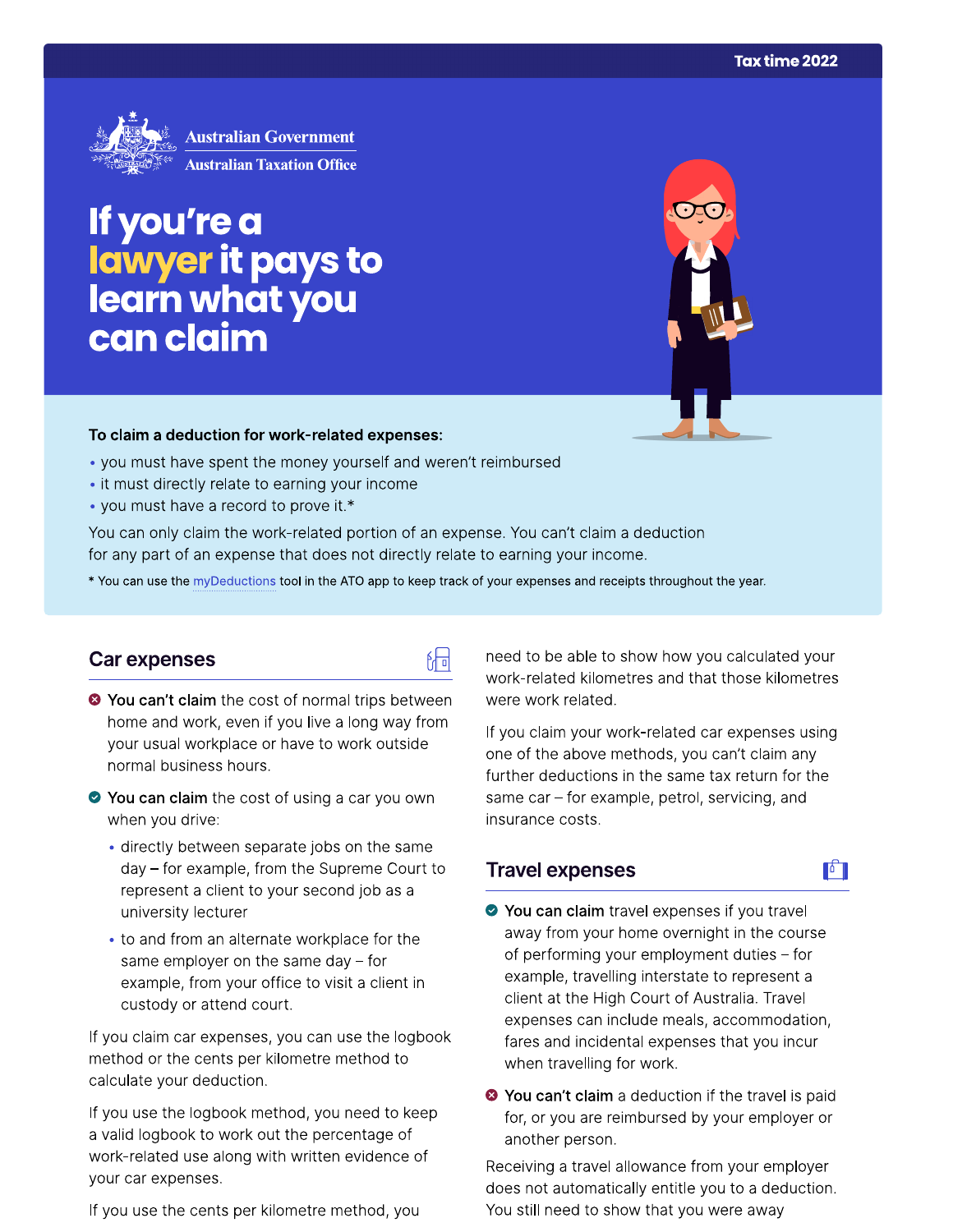

If you're a<br>lawyer it pays to<br>learn what you can claim

### To claim a deduction for work-related expenses:

- you must have spent the money yourself and weren't reimbursed
- it must directly relate to earning your income
- you must have a record to prove it.\*

You can only claim the work-related portion of an expense. You can't claim a deduction for any part of an expense that does not directly relate to earning your income.

\* You can use the myDeductions tool in the ATO app to keep track of your expenses and receipts throughout the year.

品

## Car expenses

- <sup>●</sup> You can't claim the cost of normal trips between home and work, even if you live a long way from your usual workplace or have to work outside normal business hours.
- ◆ You can claim the cost of using a car you own when you drive:
	- · directly between separate jobs on the same day - for example, from the Supreme Court to represent a client to your second job as a university lecturer
	- to and from an alternate workplace for the same employer on the same day  $-$  for example, from your office to visit a client in custody or attend court.

If you claim car expenses, you can use the logbook method or the cents per kilometre method to calculate your deduction.

If you use the logbook method, you need to keep a valid logbook to work out the percentage of work-related use along with written evidence of your car expenses.

If you use the cents per kilometre method, you

need to be able to show how you calculated your work-related kilometres and that those kilometres were work related.

If you claim your work-related car expenses using one of the above methods, you can't claim any further deductions in the same tax return for the same car - for example, petrol, servicing, and insurance costs.

r

## **Travel expenses**

- ◆ You can claim travel expenses if you travel away from your home overnight in the course of performing your employment duties - for example, travelling interstate to represent a client at the High Court of Australia. Travel expenses can include meals, accommodation, fares and incidental expenses that you incur when travelling for work.
- <sup>3</sup> You can't claim a deduction if the travel is paid for, or you are reimbursed by your employer or another person.

Receiving a travel allowance from your employer does not automatically entitle you to a deduction. You still need to show that you were away